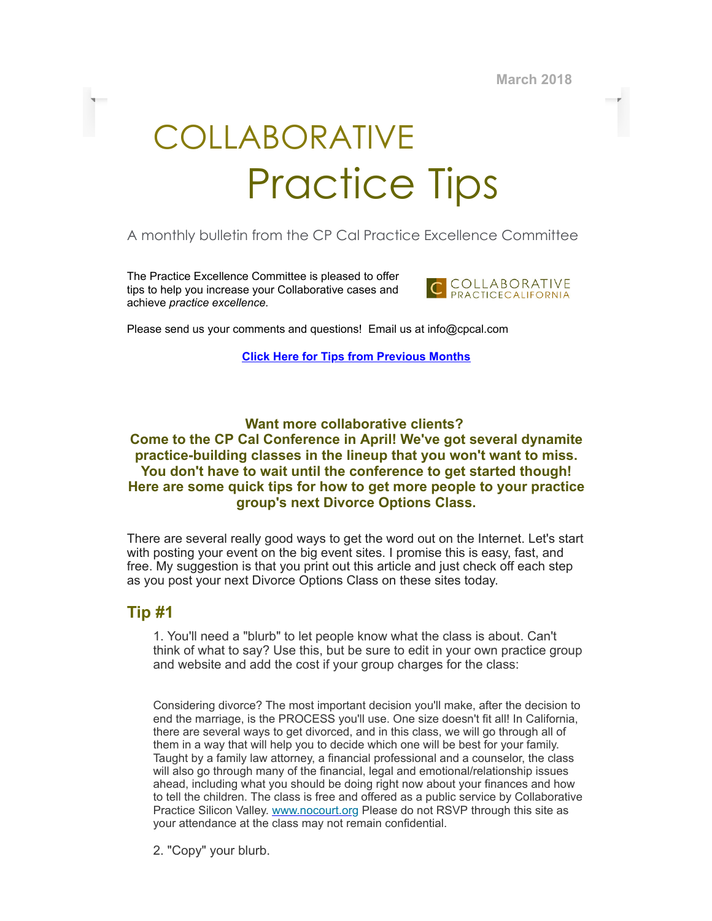March 2018

# COLLABORATIVE Practice Tips

## A monthly bulletin from the CP Cal Practice Excellence Committee

The Practice Excellence Committee is pleased to offer tips to help you increase your Collaborative cases and achieve practice excellence.



Please send us your comments and questions! Email us at info@cpcal.com

Click Here for Tips from [Previous](http://www.cpcal.com/for-professionals/practice-tips-newsletter/) Months

#### Want more collaborative clients? Come to the CP Cal Conference in April! We've got several dynamite practice-building classes in the lineup that you won't want to miss. You don't have to wait until the conference to get started though! Here are some quick tips for how to get more people to your practice group's next Divorce Options Class.

There are several really good ways to get the word out on the Internet. Let's start with posting your event on the big event sites. I promise this is easy, fast, and free. My suggestion is that you print out this article and just check off each step as you post your next Divorce Options Class on these sites today.

### Tip #1

1. You'll need a "blurb" to let people know what the class is about. Can't think of what to say? Use this, but be sure to edit in your own practice group and website and add the cost if your group charges for the class:

Considering divorce? The most important decision you'll make, after the decision to end the marriage, is the PROCESS you'll use. One size doesn't fit all! In California, there are several ways to get divorced, and in this class, we will go through all of them in a way that will help you to decide which one will be best for your family. Taught by a family law attorney, a financial professional and a counselor, the class will also go through many of the financial, legal and emotional/relationship issues ahead, including what you should be doing right now about your finances and how to tell the children. The class is free and offered as a public service by Collaborative Practice Silicon Valley. [www.nocourt.org](http://www.nocourt.org/) Please do not RSVP through this site as your attendance at the class may not remain confidential.

2. "Copy" your blurb.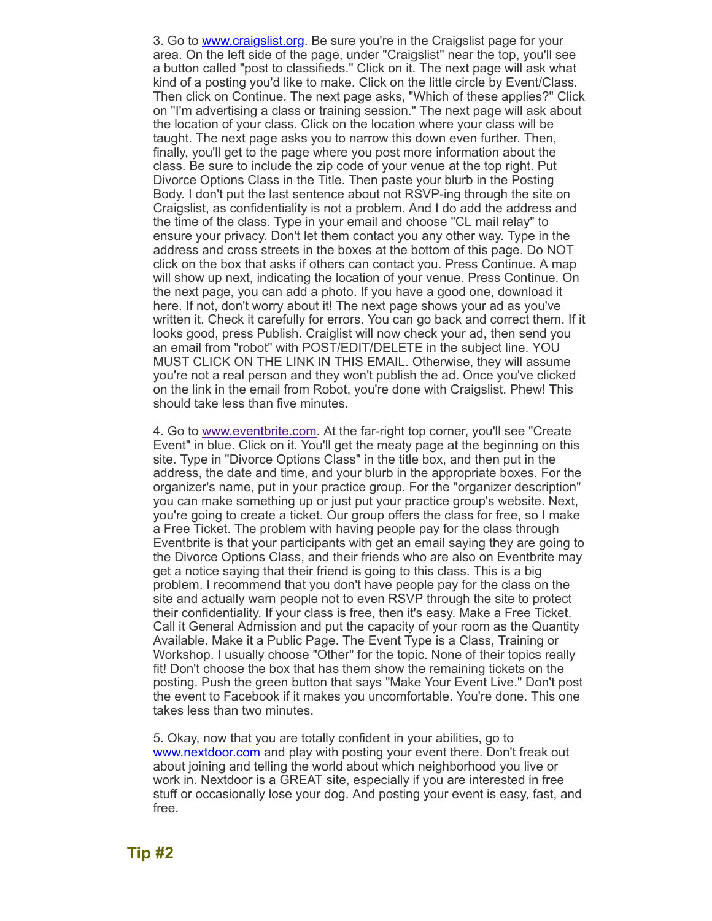3. Go to **www.craigslist.org**. Be sure you're in the Craigslist page for your area. On the left side of the page, under "Craigslist" near the top, you'll see a button called "post to classifieds." Click on it. The next page will ask what kind of a posting you'd like to make. Click on the little circle by Event/Class. Then click on Continue. The next page asks, "Which of these applies?" Click on "I'm advertising a class or training session." The next page will ask about the location of your class. Click on the location where your class will be taught. The next page asks you to narrow this down even further. Then, finally, you'll get to the page where you post more information about the class. Be sure to include the zip code of your venue at the top right. Put Divorce Options Class in the Title. Then paste your blurb in the Posting Body. I don't put the last sentence about not RSVP-ing through the site on Craigslist, as confidentiality is not a problem. And I do add the address and the time of the class. Type in your email and choose "CL mail relay" to ensure your privacy. Don't let them contact you any other way. Type in the address and cross streets in the boxes at the bottom of this page. Do NOT click on the box that asks if others can contact you. Press Continue. A map will show up next, indicating the location of your venue. Press Continue. On the next page, you can add a photo. If you have a good one, download it here. If not, don't worry about it! The next page shows your ad as you've written it. Check it carefully for errors. You can go back and correct them. If it looks good, press Publish. Craiglist will now check your ad, then send you an email from "robot" with POST/EDIT/DELETE in the subject line. YOU MUST CLICK ON THE LINK IN THIS EMAIL. Otherwise, they will assume you're not a real person and they won't publish the ad. Once you've clicked on the link in the email from Robot, you're done with Craigslist. Phew! This should take less than five minutes.

4. Go to [www.eventbrite.com](http://www.eventbrite.com/). At the far-right top corner, you'll see "Create Event" in blue. Click on it. You'll get the meaty page at the beginning on this site. Type in "Divorce Options Class" in the title box, and then put in the address, the date and time, and your blurb in the appropriate boxes. For the organizer's name, put in your practice group. For the "organizer description" you can make something up or just put your practice group's website. Next, you're going to create a ticket. Our group offers the class for free, so I make a Free Ticket. The problem with having people pay for the class through Eventbrite is that your participants with get an email saying they are going to the Divorce Options Class, and their friends who are also on Eventbrite may get a notice saying that their friend is going to this class. This is a big problem. I recommend that you don't have people pay for the class on the site and actually warn people not to even RSVP through the site to protect their confidentiality. If your class is free, then it's easy. Make a Free Ticket. Call it General Admission and put the capacity of your room as the Quantity Available. Make it a Public Page. The Event Type is a Class, Training or Workshop. I usually choose "Other" for the topic. None of their topics really fit! Don't choose the box that has them show the remaining tickets on the posting. Push the green button that says "Make Your Event Live." Don't post the event to Facebook if it makes you uncomfortable. You're done. This one takes less than two minutes.

5. Okay, now that you are totally confident in your abilities, go to [www.nextdoor.com](http://www.nextdoor.com/) and play with posting your event there. Don't freak out about joining and telling the world about which neighborhood you live or work in. Nextdoor is a GREAT site, especially if you are interested in free stuff or occasionally lose your dog. And posting your event is easy, fast, and free.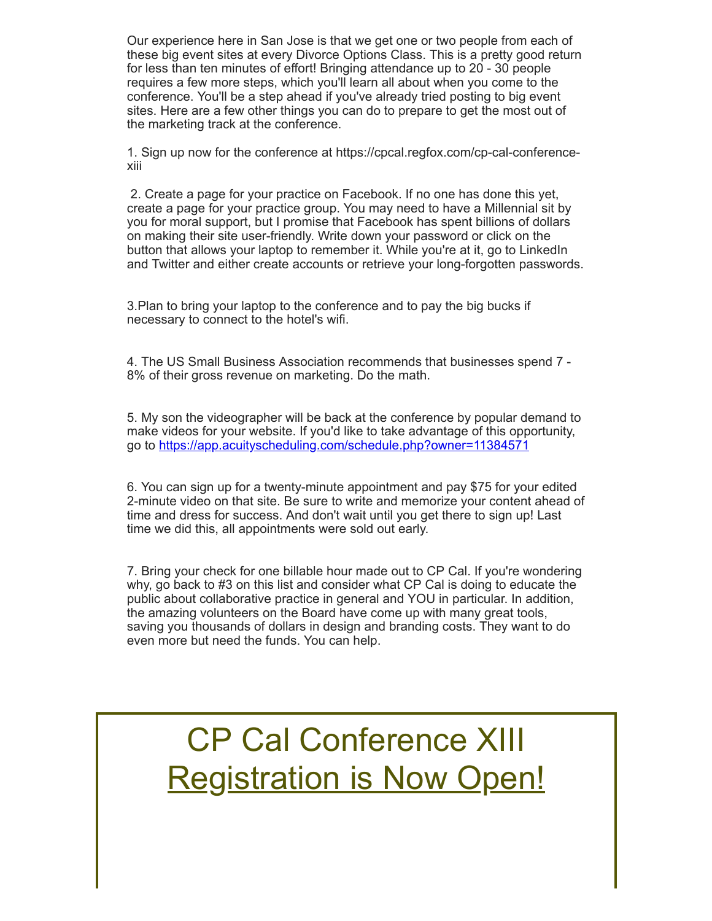Our experience here in San Jose is that we get one or two people from each of these big event sites at every Divorce Options Class. This is a pretty good return for less than ten minutes of effort! Bringing attendance up to 20 - 30 people requires a few more steps, which you'll learn all about when you come to the conference. You'll be a step ahead if you've already tried posting to big event sites. Here are a few other things you can do to prepare to get the most out of the marketing track at the conference.

1. Sign up now for the conference at https://cpcal.regfox.com/cp-cal-conferencexiii

2. Create a page for your practice on Facebook. If no one has done this yet, create a page for your practice group. You may need to have a Millennial sit by you for moral support, but I promise that Facebook has spent billions of dollars on making their site user-friendly. Write down your password or click on the button that allows your laptop to remember it. While you're at it, go to LinkedIn and Twitter and either create accounts or retrieve your long-forgotten passwords.

3.Plan to bring your laptop to the conference and to pay the big bucks if necessary to connect to the hotel's wifi.

4. The US Small Business Association recommends that businesses spend 7 - 8% of their gross revenue on marketing. Do the math.

5. My son the videographer will be back at the conference by popular demand to make videos for your website. If you'd like to take advantage of this opportunity, go to <https://app.acuityscheduling.com/schedule.php?owner=11384571>

6. You can sign up for a twenty-minute appointment and pay \$75 for your edited 2-minute video on that site. Be sure to write and memorize your content ahead of time and dress for success. And don't wait until you get there to sign up! Last time we did this, all appointments were sold out early.

7. Bring your check for one billable hour made out to CP Cal. If you're wondering why, go back to #3 on this list and consider what CP Cal is doing to educate the public about collaborative practice in general and YOU in particular. In addition, the amazing volunteers on the Board have come up with many great tools, saving you thousands of dollars in design and branding costs. They want to do even more but need the funds. You can help.

CP Cal Conference XIII **[Registration](https://cpcal.regfox.com/cp-cal-conference-xiii) is Now Open!**